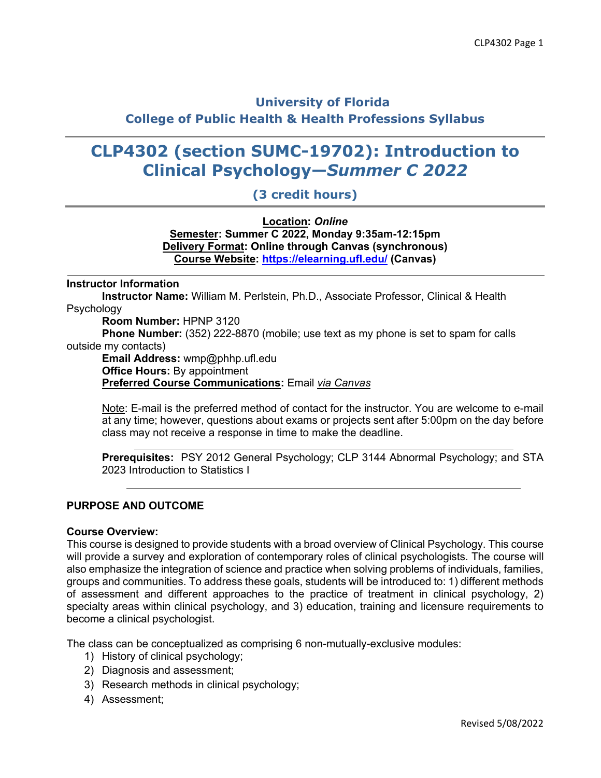# **University of Florida College of Public Health & Health Professions Syllabus**

# **CLP4302 (section SUMC-19702): Introduction to Clinical Psychology—***Summer C 2022*

## **(3 credit hours)**

**Location:** *Online* **Semester: Summer C 2022, Monday 9:35am-12:15pm Delivery Format: Online through Canvas (synchronous) Course Website: https://elearning.ufl.edu/ (Canvas)**

#### **Instructor Information**

**Instructor Name:** William M. Perlstein, Ph.D., Associate Professor, Clinical & Health Psychology

**Room Number:** HPNP 3120

**Phone Number:** (352) 222-8870 (mobile; use text as my phone is set to spam for calls outside my contacts)

**Email Address:** wmp@phhp.ufl.edu **Office Hours:** By appointment **Preferred Course Communications:** Email *via Canvas*

Note: E-mail is the preferred method of contact for the instructor. You are welcome to e-mail at any time; however, questions about exams or projects sent after 5:00pm on the day before class may not receive a response in time to make the deadline.

**Prerequisites:** PSY 2012 General Psychology; CLP 3144 Abnormal Psychology; and STA 2023 Introduction to Statistics I

### **PURPOSE AND OUTCOME**

#### **Course Overview:**

This course is designed to provide students with a broad overview of Clinical Psychology. This course will provide a survey and exploration of contemporary roles of clinical psychologists. The course will also emphasize the integration of science and practice when solving problems of individuals, families, groups and communities. To address these goals, students will be introduced to: 1) different methods of assessment and different approaches to the practice of treatment in clinical psychology, 2) specialty areas within clinical psychology, and 3) education, training and licensure requirements to become a clinical psychologist.

The class can be conceptualized as comprising 6 non-mutually-exclusive modules:

- 1) History of clinical psychology;
- 2) Diagnosis and assessment;
- 3) Research methods in clinical psychology;
- 4) Assessment;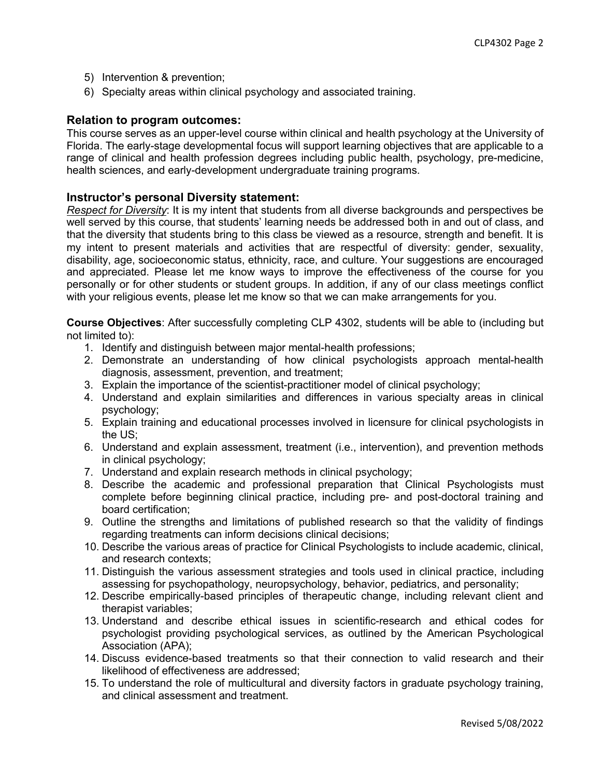- 5) Intervention & prevention;
- 6) Specialty areas within clinical psychology and associated training.

### **Relation to program outcomes:**

This course serves as an upper-level course within clinical and health psychology at the University of Florida. The early-stage developmental focus will support learning objectives that are applicable to a range of clinical and health profession degrees including public health, psychology, pre-medicine, health sciences, and early-development undergraduate training programs.

### **Instructor's personal Diversity statement:**

*Respect for Diversity*: It is my intent that students from all diverse backgrounds and perspectives be well served by this course, that students' learning needs be addressed both in and out of class, and that the diversity that students bring to this class be viewed as a resource, strength and benefit. It is my intent to present materials and activities that are respectful of diversity: gender, sexuality, disability, age, socioeconomic status, ethnicity, race, and culture. Your suggestions are encouraged and appreciated. Please let me know ways to improve the effectiveness of the course for you personally or for other students or student groups. In addition, if any of our class meetings conflict with your religious events, please let me know so that we can make arrangements for you.

**Course Objectives**: After successfully completing CLP 4302, students will be able to (including but not limited to):

- 1. Identify and distinguish between major mental-health professions;
- 2. Demonstrate an understanding of how clinical psychologists approach mental-health diagnosis, assessment, prevention, and treatment;
- 3. Explain the importance of the scientist-practitioner model of clinical psychology;
- 4. Understand and explain similarities and differences in various specialty areas in clinical psychology;
- 5. Explain training and educational processes involved in licensure for clinical psychologists in the US;
- 6. Understand and explain assessment, treatment (i.e., intervention), and prevention methods in clinical psychology;
- 7. Understand and explain research methods in clinical psychology;
- 8. Describe the academic and professional preparation that Clinical Psychologists must complete before beginning clinical practice, including pre- and post-doctoral training and board certification;
- 9. Outline the strengths and limitations of published research so that the validity of findings regarding treatments can inform decisions clinical decisions;
- 10. Describe the various areas of practice for Clinical Psychologists to include academic, clinical, and research contexts;
- 11. Distinguish the various assessment strategies and tools used in clinical practice, including assessing for psychopathology, neuropsychology, behavior, pediatrics, and personality;
- 12. Describe empirically-based principles of therapeutic change, including relevant client and therapist variables;
- 13. Understand and describe ethical issues in scientific-research and ethical codes for psychologist providing psychological services, as outlined by the American Psychological Association (APA);
- 14. Discuss evidence-based treatments so that their connection to valid research and their likelihood of effectiveness are addressed;
- 15. To understand the role of multicultural and diversity factors in graduate psychology training, and clinical assessment and treatment.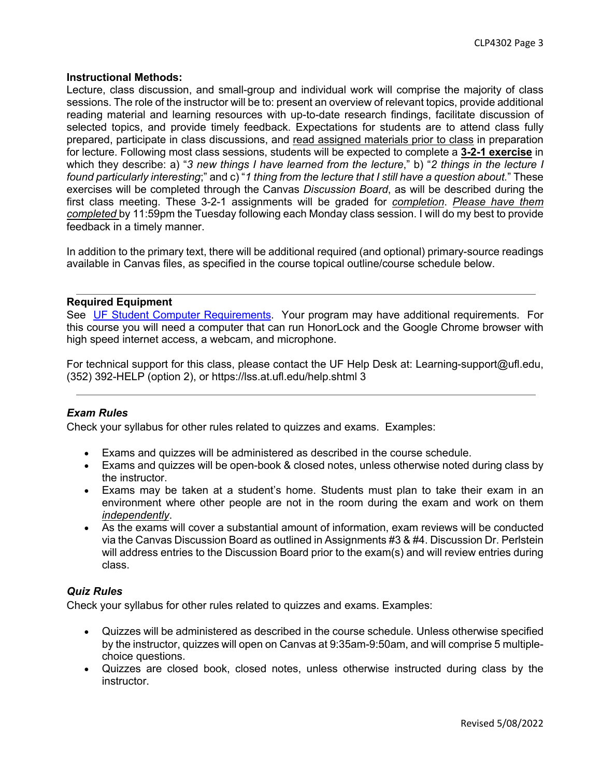### **Instructional Methods:**

Lecture, class discussion, and small-group and individual work will comprise the majority of class sessions. The role of the instructor will be to: present an overview of relevant topics, provide additional reading material and learning resources with up-to-date research findings, facilitate discussion of selected topics, and provide timely feedback. Expectations for students are to attend class fully prepared, participate in class discussions, and read assigned materials prior to class in preparation for lecture. Following most class sessions, students will be expected to complete a **3-2-1 exercise** in which they describe: a) "*3 new things I have learned from the lecture*," b) "*2 things in the lecture I found particularly interesting*;" and c) "*1 thing from the lecture that I still have a question about.*" These exercises will be completed through the Canvas *Discussion Board*, as will be described during the first class meeting. These 3-2-1 assignments will be graded for *completion*. *Please have them completed* by 11:59pm the Tuesday following each Monday class session. I will do my best to provide feedback in a timely manner.

In addition to the primary text, there will be additional required (and optional) primary-source readings available in Canvas files, as specified in the course topical outline/course schedule below.

### **Required Equipment**

See UF Student Computer Requirements. Your program may have additional requirements. For this course you will need a computer that can run HonorLock and the Google Chrome browser with high speed internet access, a webcam, and microphone.

For technical support for this class, please contact the UF Help Desk at: Learning-support@ufl.edu, (352) 392-HELP (option 2), or https://lss.at.ufl.edu/help.shtml 3

### *Exam Rules*

Check your syllabus for other rules related to quizzes and exams. Examples:

- Exams and quizzes will be administered as described in the course schedule.
- Exams and quizzes will be open-book & closed notes, unless otherwise noted during class by the instructor.
- Exams may be taken at a student's home. Students must plan to take their exam in an environment where other people are not in the room during the exam and work on them *independently*.
- As the exams will cover a substantial amount of information, exam reviews will be conducted via the Canvas Discussion Board as outlined in Assignments #3 & #4. Discussion Dr. Perlstein will address entries to the Discussion Board prior to the exam(s) and will review entries during class.

### *Quiz Rules*

Check your syllabus for other rules related to quizzes and exams. Examples:

- Quizzes will be administered as described in the course schedule. Unless otherwise specified by the instructor, quizzes will open on Canvas at 9:35am-9:50am, and will comprise 5 multiplechoice questions.
- Quizzes are closed book, closed notes, unless otherwise instructed during class by the instructor.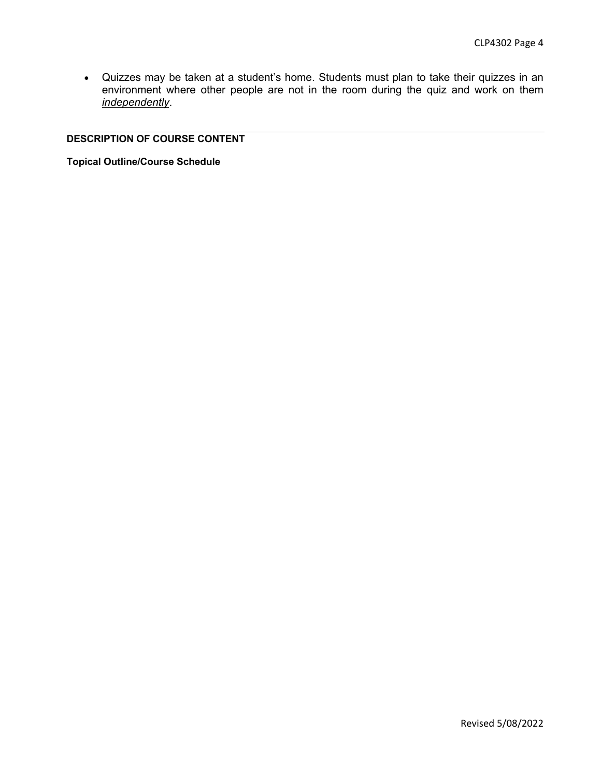• Quizzes may be taken at a student's home. Students must plan to take their quizzes in an environment where other people are not in the room during the quiz and work on them *independently*.

### **DESCRIPTION OF COURSE CONTENT**

**Topical Outline/Course Schedule**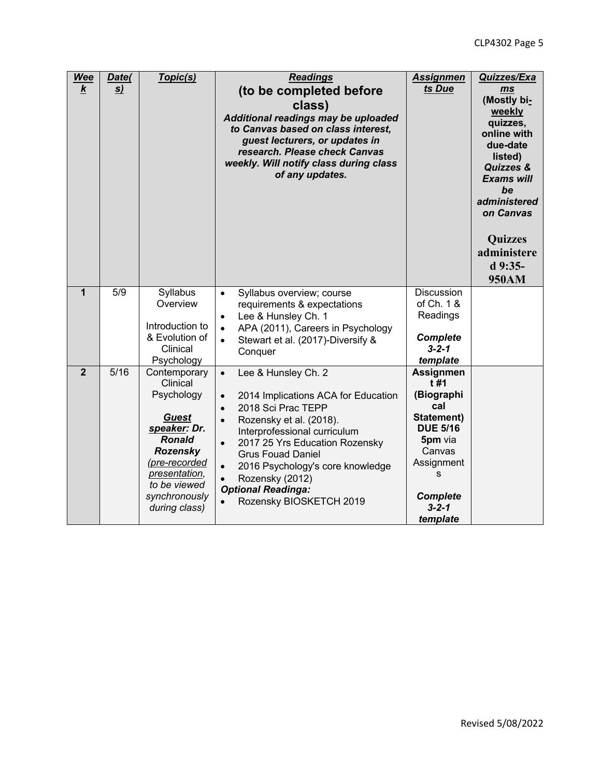| <b>Wee</b><br>$\boldsymbol{k}$ | Date(<br><u>s)</u> | Topic(s)                                                                                                                                                                                       | <b>Readings</b><br>(to be completed before<br>class)<br>Additional readings may be uploaded<br>to Canvas based on class interest,<br>guest lecturers, or updates in<br>research. Please check Canvas<br>weekly. Will notify class during class<br>of any updates.                                                                                                                                      | <b>Assignmen</b><br>ts Due                                                                                                                                          | Quizzes/Exa<br>ms<br>(Mostly bi-<br>weekly<br>quizzes,<br>online with<br>due-date<br>listed)<br><b>Quizzes &amp;</b><br><b>Exams will</b><br>be<br>administered<br>on Canvas<br><b>Quizzes</b><br>administere<br>d 9:35-<br>950AM |
|--------------------------------|--------------------|------------------------------------------------------------------------------------------------------------------------------------------------------------------------------------------------|--------------------------------------------------------------------------------------------------------------------------------------------------------------------------------------------------------------------------------------------------------------------------------------------------------------------------------------------------------------------------------------------------------|---------------------------------------------------------------------------------------------------------------------------------------------------------------------|-----------------------------------------------------------------------------------------------------------------------------------------------------------------------------------------------------------------------------------|
| $\mathbf{1}$                   | 5/9                | Syllabus<br>Overview<br>Introduction to<br>& Evolution of<br>Clinical<br>Psychology                                                                                                            | Syllabus overview; course<br>$\bullet$<br>requirements & expectations<br>Lee & Hunsley Ch. 1<br>$\bullet$<br>APA (2011), Careers in Psychology<br>$\bullet$<br>Stewart et al. (2017)-Diversify &<br>$\bullet$<br>Conquer                                                                                                                                                                               | Discussion<br>of Ch. 1 &<br>Readings<br><b>Complete</b><br>$3 - 2 - 1$<br>template                                                                                  |                                                                                                                                                                                                                                   |
| $\overline{2}$                 | 5/16               | Contemporary<br>Clinical<br>Psychology<br><b>Guest</b><br>speaker: Dr.<br><b>Ronald</b><br><b>Rozensky</b><br>(pre-recorded<br>presentation,<br>to be viewed<br>synchronously<br>during class) | $\bullet$<br>Lee & Hunsley Ch. 2<br>2014 Implications ACA for Education<br>$\bullet$<br>2018 Sci Prac TEPP<br>$\bullet$<br>Rozensky et al. (2018).<br>$\bullet$<br>Interprofessional curriculum<br>2017 25 Yrs Education Rozensky<br>$\bullet$<br><b>Grus Fouad Daniel</b><br>2016 Psychology's core knowledge<br>$\bullet$<br>Rozensky (2012)<br><b>Optional Readinga:</b><br>Rozensky BIOSKETCH 2019 | <b>Assignmen</b><br>t#1<br>(Biographi<br>cal<br>Statement)<br><b>DUE 5/16</b><br>5pm via<br>Canvas<br>Assignment<br>S<br><b>Complete</b><br>$3 - 2 - 1$<br>template |                                                                                                                                                                                                                                   |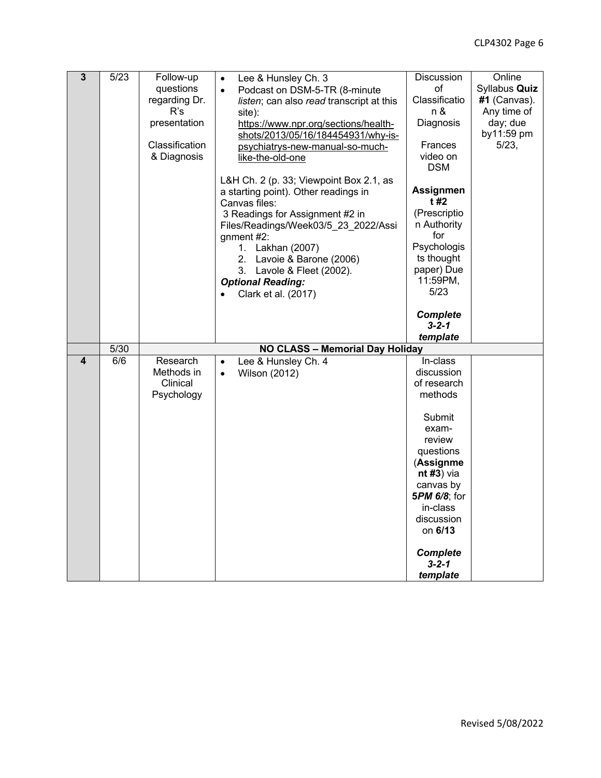| $\overline{3}$ | 5/23 | Follow-up      | Lee & Hunsley Ch. 3<br>$\bullet$         | Discussion             | Online        |
|----------------|------|----------------|------------------------------------------|------------------------|---------------|
|                |      | questions      | Podcast on DSM-5-TR (8-minute            | οf                     | Syllabus Quiz |
|                |      | regarding Dr.  | listen; can also read transcript at this | Classificatio          | #1 (Canvas).  |
|                |      | R's            | site):                                   | n &                    | Any time of   |
|                |      | presentation   | https://www.npr.org/sections/health-     | Diagnosis              | day; due      |
|                |      |                | shots/2013/05/16/184454931/why-is-       |                        | by11:59 pm    |
|                |      | Classification | psychiatrys-new-manual-so-much-          | <b>Frances</b>         | 5/23,         |
|                |      | & Diagnosis    | like-the-old-one                         | video on               |               |
|                |      |                |                                          | <b>DSM</b>             |               |
|                |      |                | L&H Ch. 2 (p. 33; Viewpoint Box 2.1, as  |                        |               |
|                |      |                | a starting point). Other readings in     | <b>Assignmen</b>       |               |
|                |      |                | Canvas files:                            | t #2                   |               |
|                |      |                | 3 Readings for Assignment #2 in          | (Prescriptio           |               |
|                |      |                | Files/Readings/Week03/5_23_2022/Assi     | n Authority            |               |
|                |      |                | gnment $#2$ :                            | for                    |               |
|                |      |                | 1. Lakhan (2007)                         | Psychologis            |               |
|                |      |                | 2. Lavoie & Barone (2006)                | ts thought             |               |
|                |      |                | 3. Lavole & Fleet (2002).                | paper) Due<br>11:59PM, |               |
|                |      |                | <b>Optional Reading:</b>                 | 5/23                   |               |
|                |      |                | Clark et al. (2017)                      |                        |               |
|                |      |                |                                          | <b>Complete</b>        |               |
|                |      |                |                                          | $3 - 2 - 1$            |               |
|                |      |                |                                          | template               |               |
|                | 5/30 |                | NO CLASS - Memorial Day Holiday          |                        |               |
| 4              | 6/6  | Research       | Lee & Hunsley Ch. 4<br>$\bullet$         | In-class               |               |
|                |      | Methods in     | <b>Wilson (2012)</b><br>$\bullet$        | discussion             |               |
|                |      | Clinical       |                                          | of research            |               |
|                |      | Psychology     |                                          | methods                |               |
|                |      |                |                                          |                        |               |
|                |      |                |                                          | Submit<br>exam-        |               |
|                |      |                |                                          | review                 |               |
|                |      |                |                                          | questions              |               |
|                |      |                |                                          | (Assignme              |               |
|                |      |                |                                          | $nt#3$ ) via           |               |
|                |      |                |                                          | canvas by              |               |
|                |      |                |                                          | 5PM 6/8; for           |               |
|                |      |                |                                          | in-class               |               |
|                |      |                |                                          | discussion             |               |
|                |      |                |                                          | on 6/13                |               |
|                |      |                |                                          | <b>Complete</b>        |               |
|                |      |                |                                          | $3 - 2 - 1$            |               |
|                |      |                |                                          | template               |               |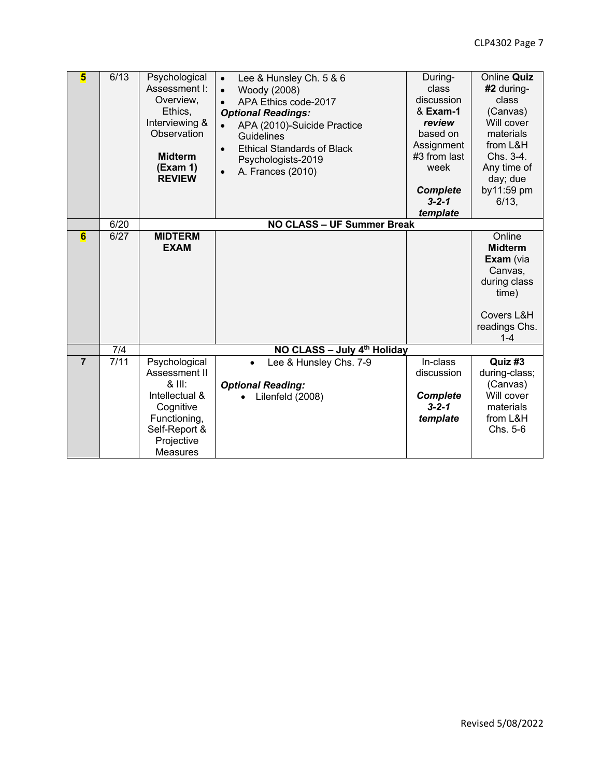| $\overline{\mathbf{5}}$ | 6/13              | Psychological<br>Assessment I:<br>Overview,<br>Ethics,<br>Interviewing &<br>Observation<br><b>Midterm</b><br>(Exam 1)<br><b>REVIEW</b>      | Lee & Hunsley Ch. 5 & 6<br>$\bullet$<br>Woody (2008)<br>$\bullet$<br>APA Ethics code-2017<br>$\bullet$<br><b>Optional Readings:</b><br>APA (2010)-Suicide Practice<br>Guidelines<br><b>Ethical Standards of Black</b><br>$\bullet$<br>Psychologists-2019<br>A. Frances (2010)<br>$\bullet$ | During-<br>class<br>discussion<br>& Exam-1<br>review<br>based on<br>Assignment<br>#3 from last<br>week<br><b>Complete</b><br>$3 - 2 - 1$<br>template | Online Quiz<br>#2 during-<br>class<br>(Canvas)<br>Will cover<br>materials<br>from L&H<br>Chs. 3-4.<br>Any time of<br>day; due<br>by11:59 pm<br>6/13, |
|-------------------------|-------------------|---------------------------------------------------------------------------------------------------------------------------------------------|--------------------------------------------------------------------------------------------------------------------------------------------------------------------------------------------------------------------------------------------------------------------------------------------|------------------------------------------------------------------------------------------------------------------------------------------------------|------------------------------------------------------------------------------------------------------------------------------------------------------|
|                         | 6/20              |                                                                                                                                             | <b>NO CLASS - UF Summer Break</b>                                                                                                                                                                                                                                                          |                                                                                                                                                      |                                                                                                                                                      |
| $6\overline{6}$         | 6/27              | <b>MIDTERM</b><br><b>EXAM</b>                                                                                                               |                                                                                                                                                                                                                                                                                            |                                                                                                                                                      | Online<br><b>Midterm</b><br>Exam (via<br>Canvas,<br>during class<br>time)<br>Covers L&H<br>readings Chs.<br>$1 - 4$                                  |
|                         | 7/4               |                                                                                                                                             | NO CLASS - July 4th Holiday                                                                                                                                                                                                                                                                |                                                                                                                                                      |                                                                                                                                                      |
| $\overline{7}$          | $\overline{7/11}$ | Psychological<br>Assessment II<br>$8$ III:<br>Intellectual &<br>Cognitive<br>Functioning,<br>Self-Report &<br>Projective<br><b>Measures</b> | Lee & Hunsley Chs. 7-9<br>$\bullet$<br><b>Optional Reading:</b><br>Lilenfeld (2008)                                                                                                                                                                                                        | In-class<br>discussion<br><b>Complete</b><br>$3 - 2 - 1$<br>template                                                                                 | Quiz #3<br>during-class;<br>(Canvas)<br>Will cover<br>materials<br>from L&H<br>Chs. 5-6                                                              |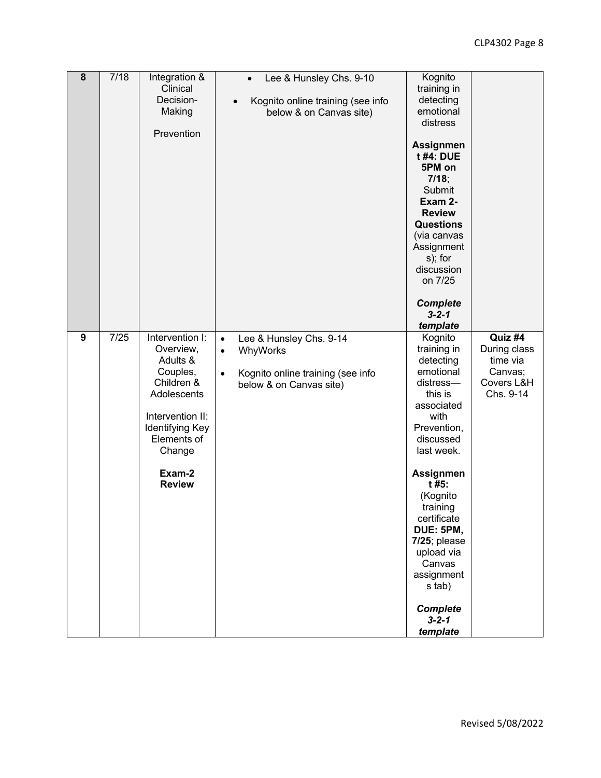| $\overline{\mathbf{8}}$ | 7/18 | Integration &<br>Clinical<br>Decision-<br>Making<br>Prevention                                                                                                               | Lee & Hunsley Chs. 9-10<br>$\bullet$<br>Kognito online training (see info<br>$\bullet$<br>below & on Canvas site)                          | Kognito<br>training in<br>detecting<br>emotional<br>distress<br><b>Assignmen</b><br>t #4: DUE<br>5PM on<br>7/18;<br>Submit<br>Exam 2-<br><b>Review</b><br><b>Questions</b><br>(via canvas<br>Assignment<br>s); for<br>discussion<br>on 7/25<br><b>Complete</b><br>$3 - 2 - 1$<br>template                                           |                                                                           |
|-------------------------|------|------------------------------------------------------------------------------------------------------------------------------------------------------------------------------|--------------------------------------------------------------------------------------------------------------------------------------------|-------------------------------------------------------------------------------------------------------------------------------------------------------------------------------------------------------------------------------------------------------------------------------------------------------------------------------------|---------------------------------------------------------------------------|
| $\boldsymbol{9}$        | 7/25 | Intervention I:<br>Overview,<br>Adults &<br>Couples,<br>Children &<br>Adolescents<br>Intervention II:<br>Identifying Key<br>Elements of<br>Change<br>Exam-2<br><b>Review</b> | Lee & Hunsley Chs. 9-14<br>$\bullet$<br>WhyWorks<br>$\bullet$<br>Kognito online training (see info<br>$\bullet$<br>below & on Canvas site) | Kognito<br>training in<br>detecting<br>emotional<br>distress-<br>this is<br>associated<br>with<br>Prevention,<br>discussed<br>last week.<br>Assignmen<br>t #5:<br>(Kognito<br>training<br>certificate<br>DUE: 5PM,<br>$7/25$ ; please<br>upload via<br>Canvas<br>assignment<br>s tab)<br><b>Complete</b><br>$3 - 2 - 1$<br>template | Quiz #4<br>During class<br>time via<br>Canvas;<br>Covers L&H<br>Chs. 9-14 |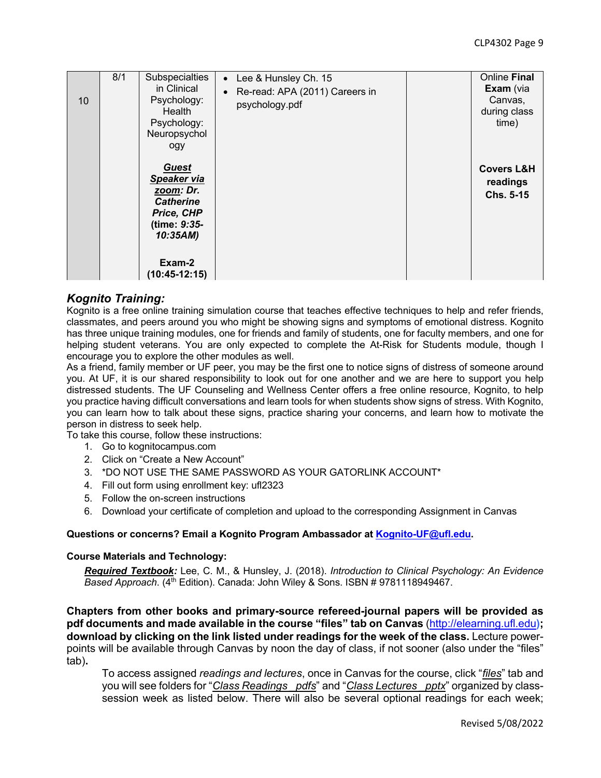| 10 | 8/1 | Subspecialties<br>in Clinical<br>Psychology:<br>Health<br>Psychology:<br>Neuropsychol<br>ogy                                        | Lee & Hunsley Ch. 15<br>$\bullet$<br>Re-read: APA (2011) Careers in<br>psychology.pdf | Online Final<br>Exam (via<br>Canvas,<br>during class<br>time) |
|----|-----|-------------------------------------------------------------------------------------------------------------------------------------|---------------------------------------------------------------------------------------|---------------------------------------------------------------|
|    |     | <b>Guest</b><br>Speaker via<br>zoom: Dr.<br><b>Catherine</b><br>Price, CHP<br>(time: 9:35-<br>10:35AM)<br>Exam-2<br>$(10:45-12:15)$ |                                                                                       | <b>Covers L&amp;H</b><br>readings<br>Chs. 5-15                |

### *Kognito Training:*

Kognito is a free online training simulation course that teaches effective techniques to help and refer friends, classmates, and peers around you who might be showing signs and symptoms of emotional distress. Kognito has three unique training modules, one for friends and family of students, one for faculty members, and one for helping student veterans. You are only expected to complete the At-Risk for Students module, though I encourage you to explore the other modules as well.

As a friend, family member or UF peer, you may be the first one to notice signs of distress of someone around you. At UF, it is our shared responsibility to look out for one another and we are here to support you help distressed students. The UF Counseling and Wellness Center offers a free online resource, Kognito, to help you practice having difficult conversations and learn tools for when students show signs of stress. With Kognito, you can learn how to talk about these signs, practice sharing your concerns, and learn how to motivate the person in distress to seek help.

To take this course, follow these instructions:

- 1. Go to kognitocampus.com
- 2. Click on "Create a New Account"
- 3. \*DO NOT USE THE SAME PASSWORD AS YOUR GATORLINK ACCOUNT\*
- 4. Fill out form using enrollment key: ufl2323
- 5. Follow the on-screen instructions
- 6. Download your certificate of completion and upload to the corresponding Assignment in Canvas

#### **Questions or concerns? Email a Kognito Program Ambassador at Kognito-UF@ufl.edu.**

#### **Course Materials and Technology:**

*Required Textbook:* Lee, C. M., & Hunsley, J. (2018). *Introduction to Clinical Psychology: An Evidence Based Approach*. (4th Edition). Canada: John Wiley & Sons. ISBN # 9781118949467.

**Chapters from other books and primary-source refereed-journal papers will be provided as pdf documents and made available in the course "files" tab on Canvas** (http://elearning.ufl.edu**); download by clicking on the link listed under readings for the week of the class.** Lecture powerpoints will be available through Canvas by noon the day of class, if not sooner (also under the "files" tab)**.**

To access assigned *readings and lectures*, once in Canvas for the course, click "*files*" tab and you will see folders for "*Class Readings \_pdfs*" and "*Class Lectures \_pptx*" organized by classsession week as listed below. There will also be several optional readings for each week;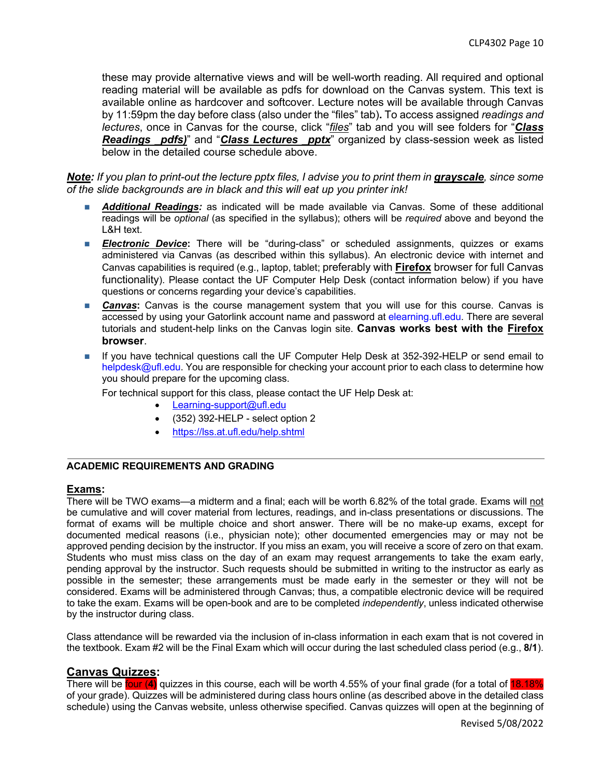these may provide alternative views and will be well-worth reading. All required and optional reading material will be available as pdfs for download on the Canvas system. This text is available online as hardcover and softcover. Lecture notes will be available through Canvas by 11:59pm the day before class (also under the "files" tab)**.** To access assigned *readings and lectures*, once in Canvas for the course, click "*files*" tab and you will see folders for "*Class Readings \_pdfs)*" and "*Class Lectures \_pptx*" organized by class-session week as listed below in the detailed course schedule above.

*Note: If you plan to print-out the lecture pptx files, I advise you to print them in grayscale, since some of the slide backgrounds are in black and this will eat up you printer ink!*

- n *Additional Readings:* as indicated will be made available via Canvas. Some of these additional readings will be *optional* (as specified in the syllabus); others will be *required* above and beyond the L&H text.
- **Electronic Device:** There will be "during-class" or scheduled assignments, quizzes or exams administered via Canvas (as described within this syllabus). An electronic device with internet and Canvas capabilities is required (e.g., laptop, tablet; preferably with **Firefox** browser for full Canvas functionality). Please contact the UF Computer Help Desk (contact information below) if you have questions or concerns regarding your device's capabilities.
- **Canvas:** Canvas is the course management system that you will use for this course. Canvas is accessed by using your Gatorlink account name and password at elearning.ufl.edu. There are several tutorials and student-help links on the Canvas login site. **Canvas works best with the Firefox browser**.
- If you have technical questions call the UF Computer Help Desk at 352-392-HELP or send email to helpdesk@ufl.edu. You are responsible for checking your account prior to each class to determine how you should prepare for the upcoming class.

For technical support for this class, please contact the UF Help Desk at:

- Learning-support@ufl.edu
- (352) 392-HELP select option 2
- https://lss.at.ufl.edu/help.shtml

#### **ACADEMIC REQUIREMENTS AND GRADING**

#### **Exams:**

There will be TWO exams—a midterm and a final; each will be worth 6.82% of the total grade. Exams will not be cumulative and will cover material from lectures, readings, and in-class presentations or discussions. The format of exams will be multiple choice and short answer. There will be no make-up exams, except for documented medical reasons (i.e., physician note); other documented emergencies may or may not be approved pending decision by the instructor. If you miss an exam, you will receive a score of zero on that exam. Students who must miss class on the day of an exam may request arrangements to take the exam early, pending approval by the instructor. Such requests should be submitted in writing to the instructor as early as possible in the semester; these arrangements must be made early in the semester or they will not be considered. Exams will be administered through Canvas; thus, a compatible electronic device will be required to take the exam. Exams will be open-book and are to be completed *independently*, unless indicated otherwise by the instructor during class.

Class attendance will be rewarded via the inclusion of in-class information in each exam that is not covered in the textbook. Exam #2 will be the Final Exam which will occur during the last scheduled class period (e.g., **8/1**).

### **Canvas Quizzes:**

There will be four (**4)** quizzes in this course, each will be worth 4.55% of your final grade (for a total of 18.18% of your grade). Quizzes will be administered during class hours online (as described above in the detailed class schedule) using the Canvas website, unless otherwise specified. Canvas quizzes will open at the beginning of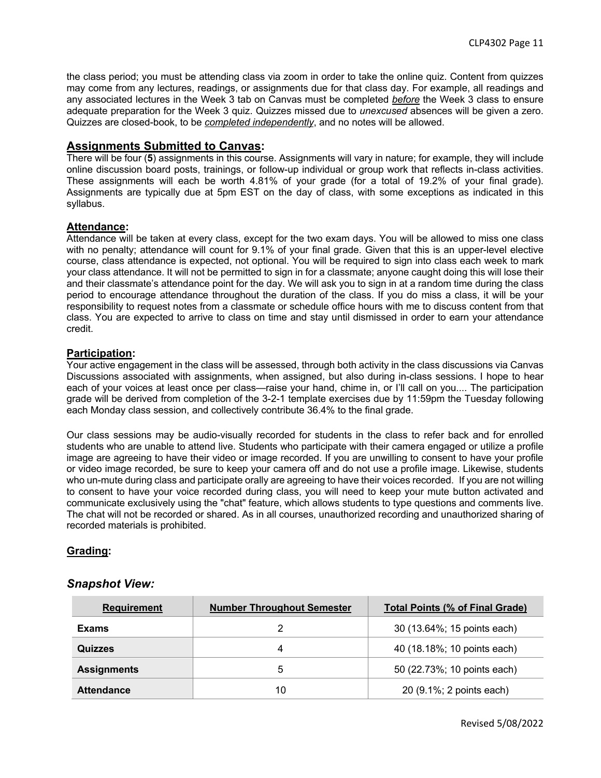the class period; you must be attending class via zoom in order to take the online quiz. Content from quizzes may come from any lectures, readings, or assignments due for that class day. For example, all readings and any associated lectures in the Week 3 tab on Canvas must be completed *before* the Week 3 class to ensure adequate preparation for the Week 3 quiz. Quizzes missed due to *unexcused* absences will be given a zero. Quizzes are closed-book, to be *completed independently*, and no notes will be allowed.

### **Assignments Submitted to Canvas:**

There will be four (**5**) assignments in this course. Assignments will vary in nature; for example, they will include online discussion board posts, trainings, or follow-up individual or group work that reflects in-class activities. These assignments will each be worth 4.81% of your grade (for a total of 19.2% of your final grade). Assignments are typically due at 5pm EST on the day of class, with some exceptions as indicated in this syllabus.

### **Attendance:**

Attendance will be taken at every class, except for the two exam days. You will be allowed to miss one class with no penalty; attendance will count for 9.1% of your final grade. Given that this is an upper-level elective course, class attendance is expected, not optional. You will be required to sign into class each week to mark your class attendance. It will not be permitted to sign in for a classmate; anyone caught doing this will lose their and their classmate's attendance point for the day. We will ask you to sign in at a random time during the class period to encourage attendance throughout the duration of the class. If you do miss a class, it will be your responsibility to request notes from a classmate or schedule office hours with me to discuss content from that class. You are expected to arrive to class on time and stay until dismissed in order to earn your attendance credit.

### **Participation:**

Your active engagement in the class will be assessed, through both activity in the class discussions via Canvas Discussions associated with assignments, when assigned, but also during in-class sessions. I hope to hear each of your voices at least once per class—raise your hand, chime in, or I'll call on you.... The participation grade will be derived from completion of the 3-2-1 template exercises due by 11:59pm the Tuesday following each Monday class session, and collectively contribute 36.4% to the final grade.

Our class sessions may be audio-visually recorded for students in the class to refer back and for enrolled students who are unable to attend live. Students who participate with their camera engaged or utilize a profile image are agreeing to have their video or image recorded. If you are unwilling to consent to have your profile or video image recorded, be sure to keep your camera off and do not use a profile image. Likewise, students who un-mute during class and participate orally are agreeing to have their voices recorded. If you are not willing to consent to have your voice recorded during class, you will need to keep your mute button activated and communicate exclusively using the "chat" feature, which allows students to type questions and comments live. The chat will not be recorded or shared. As in all courses, unauthorized recording and unauthorized sharing of recorded materials is prohibited.

### **Grading:**

### *Snapshot View:*

| <b>Requirement</b> | <b>Number Throughout Semester</b> | <b>Total Points (% of Final Grade)</b> |
|--------------------|-----------------------------------|----------------------------------------|
| Exams              |                                   | 30 (13.64%; 15 points each)            |
| <b>Quizzes</b>     | Δ                                 | 40 (18.18%; 10 points each)            |
| <b>Assignments</b> | 5                                 | 50 (22.73%; 10 points each)            |
| <b>Attendance</b>  | 10                                | 20 (9.1%; 2 points each)               |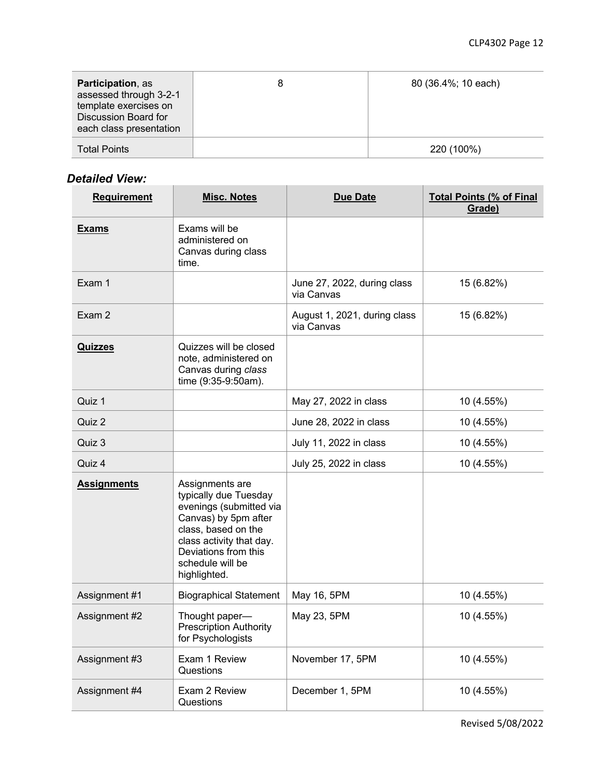| <b>Participation, as</b><br>assessed through 3-2-1<br>template exercises on<br>Discussion Board for<br>each class presentation | 80 (36.4%; 10 each) |
|--------------------------------------------------------------------------------------------------------------------------------|---------------------|
| <b>Total Points</b>                                                                                                            | 220 (100%)          |

# *Detailed View:*

| CLANCA AICM.<br><b>Requirement</b> | <b>Misc. Notes</b>                                                                                                                                                                                         | <b>Due Date</b>                            | <b>Total Points (% of Final</b> |
|------------------------------------|------------------------------------------------------------------------------------------------------------------------------------------------------------------------------------------------------------|--------------------------------------------|---------------------------------|
|                                    |                                                                                                                                                                                                            |                                            | Grade)                          |
| <b>Exams</b>                       | Exams will be<br>administered on<br>Canvas during class<br>time.                                                                                                                                           |                                            |                                 |
| Exam 1                             |                                                                                                                                                                                                            | June 27, 2022, during class<br>via Canvas  | 15 (6.82%)                      |
| Exam 2                             |                                                                                                                                                                                                            | August 1, 2021, during class<br>via Canvas | 15 (6.82%)                      |
| <b>Quizzes</b>                     | Quizzes will be closed<br>note, administered on<br>Canvas during class<br>time (9:35-9:50am).                                                                                                              |                                            |                                 |
| Quiz 1                             |                                                                                                                                                                                                            | May 27, 2022 in class                      | 10 (4.55%)                      |
| Quiz 2                             |                                                                                                                                                                                                            | June 28, 2022 in class                     | 10 (4.55%)                      |
| Quiz 3                             |                                                                                                                                                                                                            | July 11, 2022 in class                     | 10 (4.55%)                      |
| Quiz 4                             |                                                                                                                                                                                                            | July 25, 2022 in class                     | 10 (4.55%)                      |
| <b>Assignments</b>                 | Assignments are<br>typically due Tuesday<br>evenings (submitted via<br>Canvas) by 5pm after<br>class, based on the<br>class activity that day.<br>Deviations from this<br>schedule will be<br>highlighted. |                                            |                                 |
| Assignment #1                      | <b>Biographical Statement</b>                                                                                                                                                                              | May 16, 5PM                                | 10 (4.55%)                      |
| Assignment #2                      | Thought paper-<br><b>Prescription Authority</b><br>for Psychologists                                                                                                                                       | May 23, 5PM                                | 10 (4.55%)                      |
| Assignment #3                      | Exam 1 Review<br>Questions                                                                                                                                                                                 | November 17, 5PM                           | 10 (4.55%)                      |
| Assignment #4                      | Exam 2 Review<br>Questions                                                                                                                                                                                 | December 1, 5PM                            | 10 (4.55%)                      |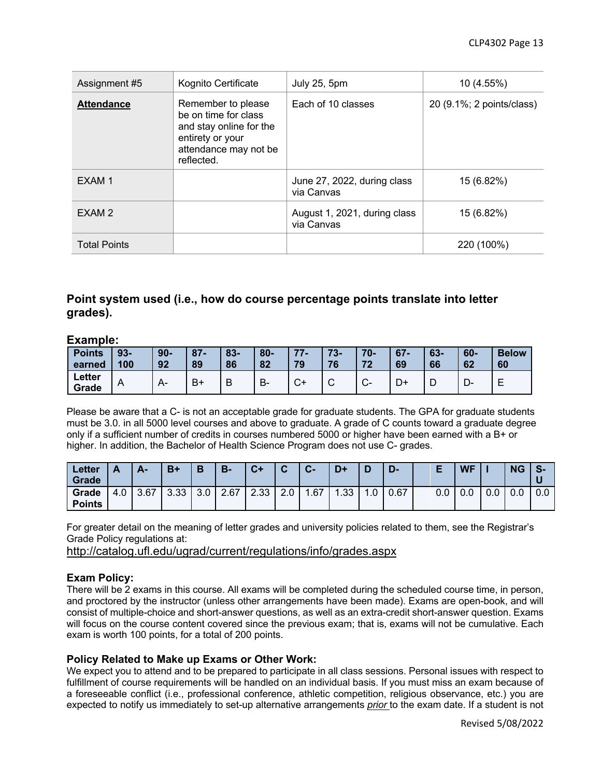| Assignment #5       | Kognito Certificate                                                                                                              | July 25, 5pm                               | 10 (4.55%)                |
|---------------------|----------------------------------------------------------------------------------------------------------------------------------|--------------------------------------------|---------------------------|
| <b>Attendance</b>   | Remember to please<br>be on time for class<br>and stay online for the<br>entirety or your<br>attendance may not be<br>reflected. | Each of 10 classes                         | 20 (9.1%; 2 points/class) |
| EXAM <sub>1</sub>   |                                                                                                                                  | June 27, 2022, during class<br>via Canvas  | 15 (6.82%)                |
| EXAM <sub>2</sub>   |                                                                                                                                  | August 1, 2021, during class<br>via Canvas | 15 (6.82%)                |
| <b>Total Points</b> |                                                                                                                                  |                                            | 220 (100%)                |

### **Point system used (i.e., how do course percentage points translate into letter grades).**

### **Example:**

| <b>Points</b>   | $93 -$ | $90-$ | $87 -$ | $83 -$ | $80 -$ | $77 -$ | $73 -$          | $70 -$                 | $67 -$ | $63 -$ | $60 -$  | <b>Below</b> |
|-----------------|--------|-------|--------|--------|--------|--------|-----------------|------------------------|--------|--------|---------|--------------|
| earned          | 100    | 92    | 89     | 86     | 82     | 79     | 76              | 72                     | 69     | 66     | 62      | 60           |
| Letter<br>Grade | A      |       | B+     | В      | В-     | С+     | $\sqrt{2}$<br>ັ | $\sim$<br>$\mathbf{v}$ | D+     | ┗      | −<br>−∪ |              |

Please be aware that a C- is not an acceptable grade for graduate students. The GPA for graduate students must be 3.0. in all 5000 level courses and above to graduate. A grade of C counts toward a graduate degree only if a sufficient number of credits in courses numbered 5000 or higher have been earned with a B+ or higher. In addition, the Bachelor of Health Science Program does not use C- grades.

| Letter<br><b>Grade</b> |     | А-   | $B+$ | B                | <b>B-</b> | $C+$ | $\hat{\phantom{a}}$ | $\sim$<br>$\overline{\mathbf{u}}$ | $D+$ |     | D-   |     | <b>WF</b> |     | <b>NG</b> | $\epsilon$<br>-37<br>U |
|------------------------|-----|------|------|------------------|-----------|------|---------------------|-----------------------------------|------|-----|------|-----|-----------|-----|-----------|------------------------|
| Grade<br><b>Points</b> | 4.0 | 3.67 | 3.33 | 3.0 <sub>1</sub> | 2.67      | 2.33 | $\Omega$<br>Z.U     | .67                               | .33  | 0.، | 0.67 | 0.0 | 0.0       | 0.0 | 0.0       | 0.0                    |

For greater detail on the meaning of letter grades and university policies related to them, see the Registrar's Grade Policy regulations at:

http://catalog.ufl.edu/ugrad/current/regulations/info/grades.aspx

### **Exam Policy:**

There will be 2 exams in this course. All exams will be completed during the scheduled course time, in person, and proctored by the instructor (unless other arrangements have been made). Exams are open-book, and will consist of multiple-choice and short-answer questions, as well as an extra-credit short-answer question. Exams will focus on the course content covered since the previous exam; that is, exams will not be cumulative. Each exam is worth 100 points, for a total of 200 points.

### **Policy Related to Make up Exams or Other Work:**

We expect you to attend and to be prepared to participate in all class sessions. Personal issues with respect to fulfillment of course requirements will be handled on an individual basis. If you must miss an exam because of a foreseeable conflict (i.e., professional conference, athletic competition, religious observance, etc.) you are expected to notify us immediately to set-up alternative arrangements *prior* to the exam date. If a student is not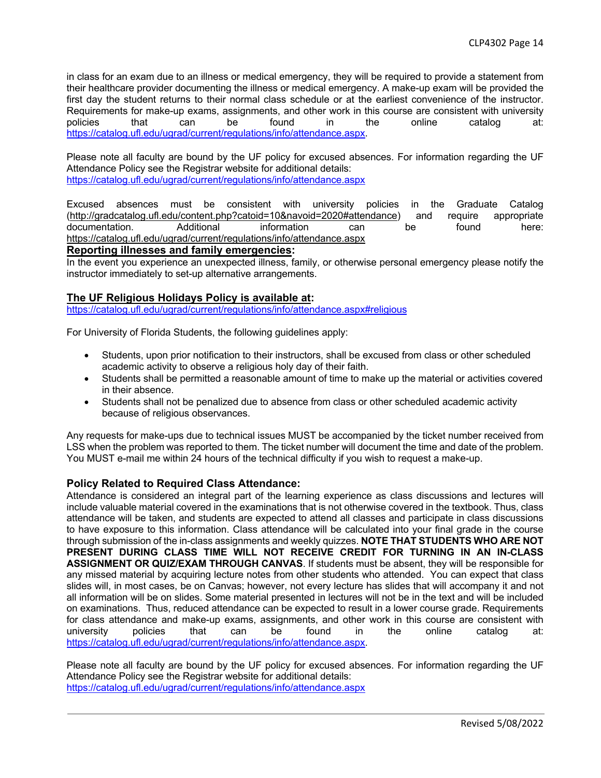in class for an exam due to an illness or medical emergency, they will be required to provide a statement from their healthcare provider documenting the illness or medical emergency. A make-up exam will be provided the first day the student returns to their normal class schedule or at the earliest convenience of the instructor. Requirements for make-up exams, assignments, and other work in this course are consistent with university policies that can be found in the online catalog at: https://catalog.ufl.edu/ugrad/current/regulations/info/attendance.aspx.

Please note all faculty are bound by the UF policy for excused absences. For information regarding the UF Attendance Policy see the Registrar website for additional details: https://catalog.ufl.edu/ugrad/current/regulations/info/attendance.aspx

Excused absences must be consistent with university policies in the Graduate Catalog (http://gradcatalog.ufl.edu/content.php?catoid=10&navoid=2020#attendance) and require appropriate documentation. Additional information can be found here: https://catalog.ufl.edu/ugrad/current/regulations/info/attendance.aspx

#### **Reporting illnesses and family emergencies:**

In the event you experience an unexpected illness, family, or otherwise personal emergency please notify the instructor immediately to set-up alternative arrangements.

### **The UF Religious Holidays Policy is available at:**

https://catalog.ufl.edu/ugrad/current/regulations/info/attendance.aspx#religious

For University of Florida Students, the following guidelines apply:

- Students, upon prior notification to their instructors, shall be excused from class or other scheduled academic activity to observe a religious holy day of their faith.
- Students shall be permitted a reasonable amount of time to make up the material or activities covered in their absence.
- Students shall not be penalized due to absence from class or other scheduled academic activity because of religious observances.

Any requests for make-ups due to technical issues MUST be accompanied by the ticket number received from LSS when the problem was reported to them. The ticket number will document the time and date of the problem. You MUST e-mail me within 24 hours of the technical difficulty if you wish to request a make-up.

#### **Policy Related to Required Class Attendance:**

Attendance is considered an integral part of the learning experience as class discussions and lectures will include valuable material covered in the examinations that is not otherwise covered in the textbook. Thus, class attendance will be taken, and students are expected to attend all classes and participate in class discussions to have exposure to this information. Class attendance will be calculated into your final grade in the course through submission of the in-class assignments and weekly quizzes. **NOTE THAT STUDENTS WHO ARE NOT PRESENT DURING CLASS TIME WILL NOT RECEIVE CREDIT FOR TURNING IN AN IN-CLASS ASSIGNMENT OR QUIZ/EXAM THROUGH CANVAS**. If students must be absent, they will be responsible for any missed material by acquiring lecture notes from other students who attended. You can expect that class slides will, in most cases, be on Canvas; however, not every lecture has slides that will accompany it and not all information will be on slides. Some material presented in lectures will not be in the text and will be included on examinations. Thus, reduced attendance can be expected to result in a lower course grade. Requirements for class attendance and make-up exams, assignments, and other work in this course are consistent with university policies that can be found in the online catalog at: https://catalog.ufl.edu/ugrad/current/regulations/info/attendance.aspx.

Please note all faculty are bound by the UF policy for excused absences. For information regarding the UF Attendance Policy see the Registrar website for additional details: https://catalog.ufl.edu/ugrad/current/regulations/info/attendance.aspx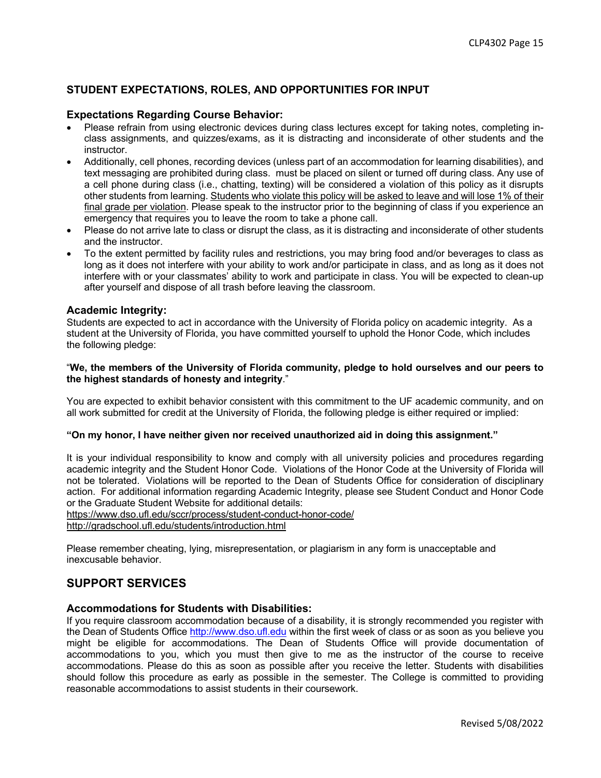### **STUDENT EXPECTATIONS, ROLES, AND OPPORTUNITIES FOR INPUT**

#### **Expectations Regarding Course Behavior:**

- Please refrain from using electronic devices during class lectures except for taking notes, completing inclass assignments, and quizzes/exams, as it is distracting and inconsiderate of other students and the instructor.
- Additionally, cell phones, recording devices (unless part of an accommodation for learning disabilities), and text messaging are prohibited during class. must be placed on silent or turned off during class. Any use of a cell phone during class (i.e., chatting, texting) will be considered a violation of this policy as it disrupts other students from learning. Students who violate this policy will be asked to leave and will lose 1% of their final grade per violation. Please speak to the instructor prior to the beginning of class if you experience an emergency that requires you to leave the room to take a phone call.
- Please do not arrive late to class or disrupt the class, as it is distracting and inconsiderate of other students and the instructor.
- To the extent permitted by facility rules and restrictions, you may bring food and/or beverages to class as long as it does not interfere with your ability to work and/or participate in class, and as long as it does not interfere with or your classmates' ability to work and participate in class. You will be expected to clean-up after yourself and dispose of all trash before leaving the classroom.

#### **Academic Integrity:**

Students are expected to act in accordance with the University of Florida policy on academic integrity. As a student at the University of Florida, you have committed yourself to uphold the Honor Code, which includes the following pledge:

#### "**We, the members of the University of Florida community, pledge to hold ourselves and our peers to the highest standards of honesty and integrity**."

You are expected to exhibit behavior consistent with this commitment to the UF academic community, and on all work submitted for credit at the University of Florida, the following pledge is either required or implied:

#### **"On my honor, I have neither given nor received unauthorized aid in doing this assignment."**

It is your individual responsibility to know and comply with all university policies and procedures regarding academic integrity and the Student Honor Code. Violations of the Honor Code at the University of Florida will not be tolerated. Violations will be reported to the Dean of Students Office for consideration of disciplinary action. For additional information regarding Academic Integrity, please see Student Conduct and Honor Code or the Graduate Student Website for additional details:

https://www.dso.ufl.edu/sccr/process/student-conduct-honor-code/

http://gradschool.ufl.edu/students/introduction.html

Please remember cheating, lying, misrepresentation, or plagiarism in any form is unacceptable and inexcusable behavior.

### **SUPPORT SERVICES**

### **Accommodations for Students with Disabilities:**

If you require classroom accommodation because of a disability, it is strongly recommended you register with the Dean of Students Office http://www.dso.ufl.edu within the first week of class or as soon as you believe you might be eligible for accommodations. The Dean of Students Office will provide documentation of accommodations to you, which you must then give to me as the instructor of the course to receive accommodations. Please do this as soon as possible after you receive the letter. Students with disabilities should follow this procedure as early as possible in the semester. The College is committed to providing reasonable accommodations to assist students in their coursework.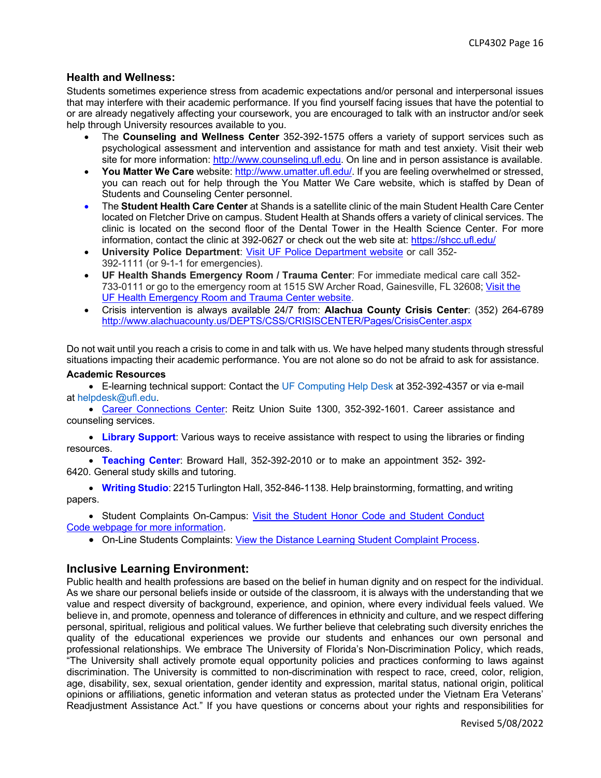### **Health and Wellness:**

Students sometimes experience stress from academic expectations and/or personal and interpersonal issues that may interfere with their academic performance. If you find yourself facing issues that have the potential to or are already negatively affecting your coursework, you are encouraged to talk with an instructor and/or seek help through University resources available to you.

- The **Counseling and Wellness Center** 352-392-1575 offers a variety of support services such as psychological assessment and intervention and assistance for math and test anxiety. Visit their web site for more information: http://www.counseling.ufl.edu. On line and in person assistance is available.
- **You Matter We Care** website: http://www.umatter.ufl.edu/. If you are feeling overwhelmed or stressed, you can reach out for help through the You Matter We Care website, which is staffed by Dean of Students and Counseling Center personnel.
- The **Student Health Care Center** at Shands is a satellite clinic of the main Student Health Care Center located on Fletcher Drive on campus. Student Health at Shands offers a variety of clinical services. The clinic is located on the second floor of the Dental Tower in the Health Science Center. For more information, contact the clinic at 392-0627 or check out the web site at: https://shcc.ufl.edu/
- **University Police Department**: Visit UF Police Department website or call 352- 392-1111 (or 9-1-1 for emergencies).
- **UF Health Shands Emergency Room / Trauma Center**: For immediate medical care call 352- 733-0111 or go to the emergency room at 1515 SW Archer Road, Gainesville, FL 32608; Visit the UF Health Emergency Room and Trauma Center website.
- Crisis intervention is always available 24/7 from: **Alachua County Crisis Center**: (352) 264-6789 http://www.alachuacounty.us/DEPTS/CSS/CRISISCENTER/Pages/CrisisCenter.aspx

Do not wait until you reach a crisis to come in and talk with us. We have helped many students through stressful situations impacting their academic performance. You are not alone so do not be afraid to ask for assistance.

#### **Academic Resources**

• E-learning technical support: Contact the UF Computing Help Desk at 352-392-4357 or via e-mail at helpdesk@ufl.edu.

• Career Connections Center: Reitz Union Suite 1300, 352-392-1601. Career assistance and counseling services.

• **Library Support**: Various ways to receive assistance with respect to using the libraries or finding resources.

• **Teaching Center**: Broward Hall, 352-392-2010 or to make an appointment 352- 392- 6420. General study skills and tutoring.

• **Writing Studio**: 2215 Turlington Hall, 352-846-1138. Help brainstorming, formatting, and writing papers.

• Student Complaints On-Campus: Visit the Student Honor Code and Student Conduct Code webpage for more information.

• On-Line Students Complaints: View the Distance Learning Student Complaint Process.

### **Inclusive Learning Environment:**

Public health and health professions are based on the belief in human dignity and on respect for the individual. As we share our personal beliefs inside or outside of the classroom, it is always with the understanding that we value and respect diversity of background, experience, and opinion, where every individual feels valued. We believe in, and promote, openness and tolerance of differences in ethnicity and culture, and we respect differing personal, spiritual, religious and political values. We further believe that celebrating such diversity enriches the quality of the educational experiences we provide our students and enhances our own personal and professional relationships. We embrace The University of Florida's Non-Discrimination Policy, which reads, "The University shall actively promote equal opportunity policies and practices conforming to laws against discrimination. The University is committed to non-discrimination with respect to race, creed, color, religion, age, disability, sex, sexual orientation, gender identity and expression, marital status, national origin, political opinions or affiliations, genetic information and veteran status as protected under the Vietnam Era Veterans' Readjustment Assistance Act." If you have questions or concerns about your rights and responsibilities for